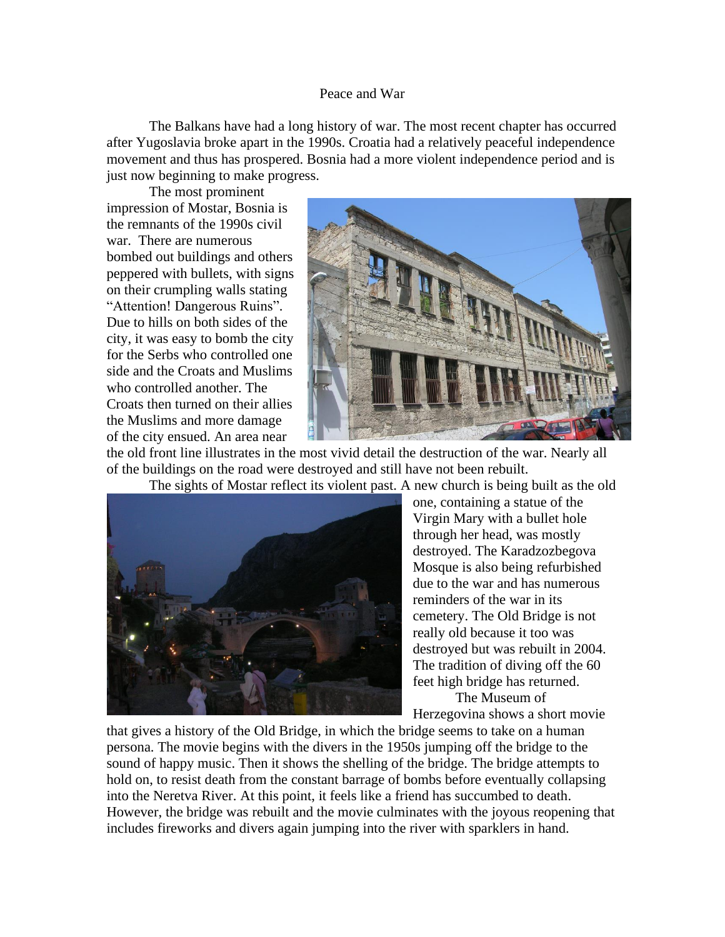## Peace and War

The Balkans have had a long history of war. The most recent chapter has occurred after Yugoslavia broke apart in the 1990s. Croatia had a relatively peaceful independence movement and thus has prospered. Bosnia had a more violent independence period and is just now beginning to make progress.

The most prominent impression of Mostar, Bosnia is the remnants of the 1990s civil war. There are numerous bombed out buildings and others peppered with bullets, with signs on their crumpling walls stating "Attention! Dangerous Ruins". Due to hills on both sides of the city, it was easy to bomb the city for the Serbs who controlled one side and the Croats and Muslims who controlled another. The Croats then turned on their allies the Muslims and more damage of the city ensued. An area near



the old front line illustrates in the most vivid detail the destruction of the war. Nearly all of the buildings on the road were destroyed and still have not been rebuilt.

The sights of Mostar reflect its violent past. A new church is being built as the old



one, containing a statue of the Virgin Mary with a bullet hole through her head, was mostly destroyed. The Karadzozbegova Mosque is also being refurbished due to the war and has numerous reminders of the war in its cemetery. The Old Bridge is not really old because it too was destroyed but was rebuilt in 2004. The tradition of diving off the 60 feet high bridge has returned. The Museum of

Herzegovina shows a short movie

that gives a history of the Old Bridge, in which the bridge seems to take on a human persona. The movie begins with the divers in the 1950s jumping off the bridge to the sound of happy music. Then it shows the shelling of the bridge. The bridge attempts to hold on, to resist death from the constant barrage of bombs before eventually collapsing into the Neretva River. At this point, it feels like a friend has succumbed to death. However, the bridge was rebuilt and the movie culminates with the joyous reopening that includes fireworks and divers again jumping into the river with sparklers in hand.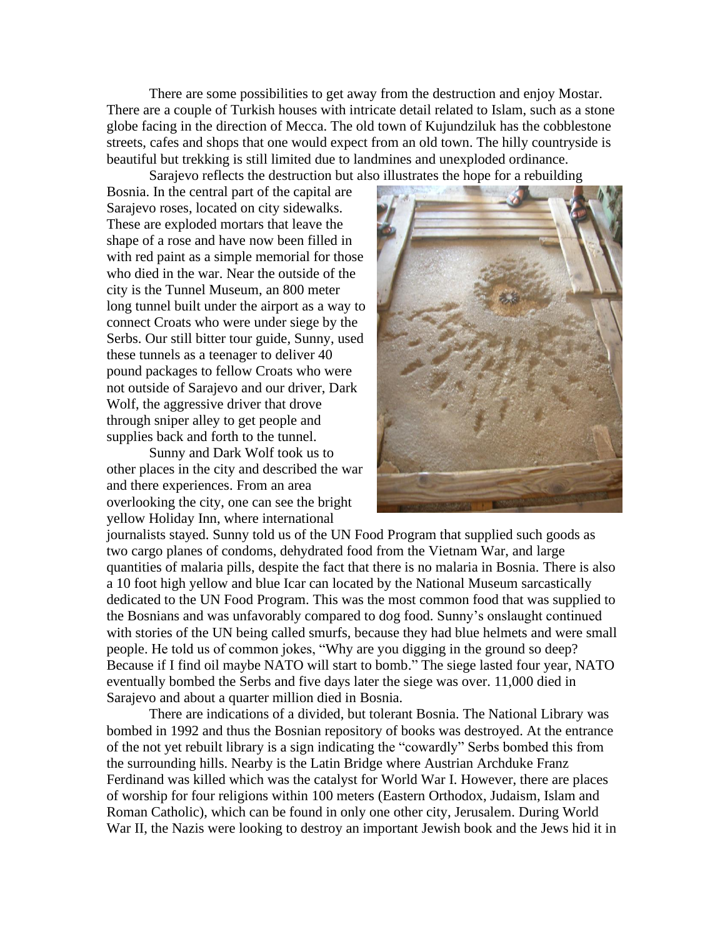There are some possibilities to get away from the destruction and enjoy Mostar. There are a couple of Turkish houses with intricate detail related to Islam, such as a stone globe facing in the direction of Mecca. The old town of Kujundziluk has the cobblestone streets, cafes and shops that one would expect from an old town. The hilly countryside is beautiful but trekking is still limited due to landmines and unexploded ordinance. Sarajevo reflects the destruction but also illustrates the hope for a rebuilding

Bosnia. In the central part of the capital are Sarajevo roses, located on city sidewalks. These are exploded mortars that leave the shape of a rose and have now been filled in with red paint as a simple memorial for those who died in the war. Near the outside of the city is the Tunnel Museum, an 800 meter long tunnel built under the airport as a way to connect Croats who were under siege by the Serbs. Our still bitter tour guide, Sunny, used these tunnels as a teenager to deliver 40 pound packages to fellow Croats who were not outside of Sarajevo and our driver, Dark Wolf, the aggressive driver that drove through sniper alley to get people and supplies back and forth to the tunnel.

Sunny and Dark Wolf took us to other places in the city and described the war and there experiences. From an area overlooking the city, one can see the bright yellow Holiday Inn, where international



journalists stayed. Sunny told us of the UN Food Program that supplied such goods as two cargo planes of condoms, dehydrated food from the Vietnam War, and large quantities of malaria pills, despite the fact that there is no malaria in Bosnia. There is also a 10 foot high yellow and blue Icar can located by the National Museum sarcastically dedicated to the UN Food Program. This was the most common food that was supplied to the Bosnians and was unfavorably compared to dog food. Sunny's onslaught continued with stories of the UN being called smurfs, because they had blue helmets and were small people. He told us of common jokes, "Why are you digging in the ground so deep? Because if I find oil maybe NATO will start to bomb." The siege lasted four year, NATO eventually bombed the Serbs and five days later the siege was over. 11,000 died in Sarajevo and about a quarter million died in Bosnia.

There are indications of a divided, but tolerant Bosnia. The National Library was bombed in 1992 and thus the Bosnian repository of books was destroyed. At the entrance of the not yet rebuilt library is a sign indicating the "cowardly" Serbs bombed this from the surrounding hills. Nearby is the Latin Bridge where Austrian Archduke Franz Ferdinand was killed which was the catalyst for World War I. However, there are places of worship for four religions within 100 meters (Eastern Orthodox, Judaism, Islam and Roman Catholic), which can be found in only one other city, Jerusalem. During World War II, the Nazis were looking to destroy an important Jewish book and the Jews hid it in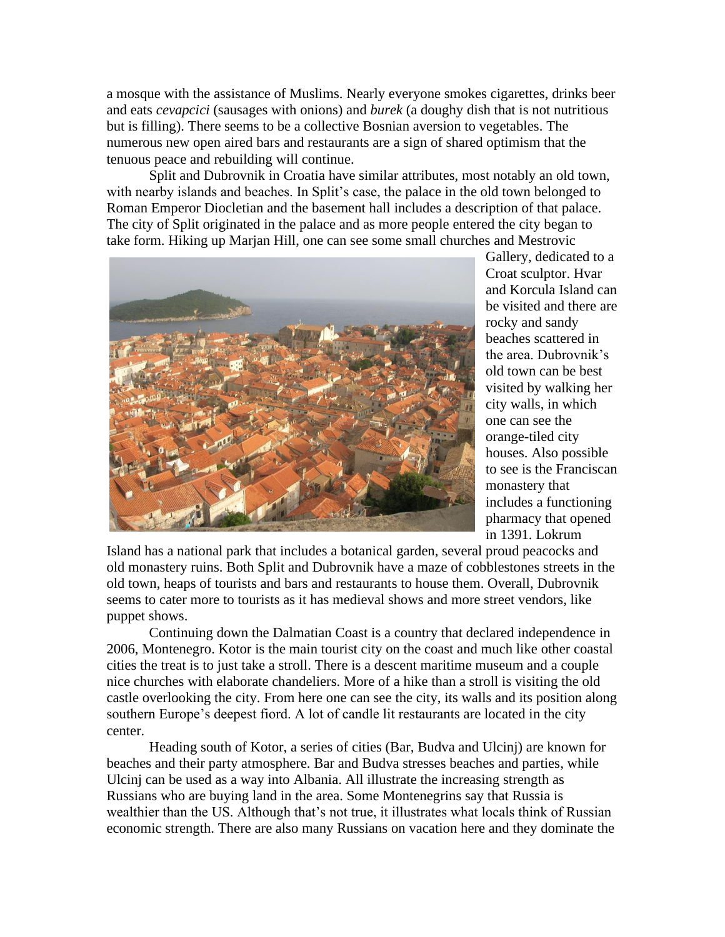a mosque with the assistance of Muslims. Nearly everyone smokes cigarettes, drinks beer and eats *cevapcici* (sausages with onions) and *burek* (a doughy dish that is not nutritious but is filling). There seems to be a collective Bosnian aversion to vegetables. The numerous new open aired bars and restaurants are a sign of shared optimism that the tenuous peace and rebuilding will continue.

Split and Dubrovnik in Croatia have similar attributes, most notably an old town, with nearby islands and beaches. In Split's case, the palace in the old town belonged to Roman Emperor Diocletian and the basement hall includes a description of that palace. The city of Split originated in the palace and as more people entered the city began to take form. Hiking up Marjan Hill, one can see some small churches and Mestrovic



Gallery, dedicated to a Croat sculptor. Hvar and Korcula Island can be visited and there are rocky and sandy beaches scattered in the area. Dubrovnik's old town can be best visited by walking her city walls, in which one can see the orange-tiled city houses. Also possible to see is the Franciscan monastery that includes a functioning pharmacy that opened in 1391. Lokrum

Island has a national park that includes a botanical garden, several proud peacocks and old monastery ruins. Both Split and Dubrovnik have a maze of cobblestones streets in the old town, heaps of tourists and bars and restaurants to house them. Overall, Dubrovnik seems to cater more to tourists as it has medieval shows and more street vendors, like puppet shows.

Continuing down the Dalmatian Coast is a country that declared independence in 2006, Montenegro. Kotor is the main tourist city on the coast and much like other coastal cities the treat is to just take a stroll. There is a descent maritime museum and a couple nice churches with elaborate chandeliers. More of a hike than a stroll is visiting the old castle overlooking the city. From here one can see the city, its walls and its position along southern Europe's deepest fiord. A lot of candle lit restaurants are located in the city center.

Heading south of Kotor, a series of cities (Bar, Budva and Ulcinj) are known for beaches and their party atmosphere. Bar and Budva stresses beaches and parties, while Ulcinj can be used as a way into Albania. All illustrate the increasing strength as Russians who are buying land in the area. Some Montenegrins say that Russia is wealthier than the US. Although that's not true, it illustrates what locals think of Russian economic strength. There are also many Russians on vacation here and they dominate the